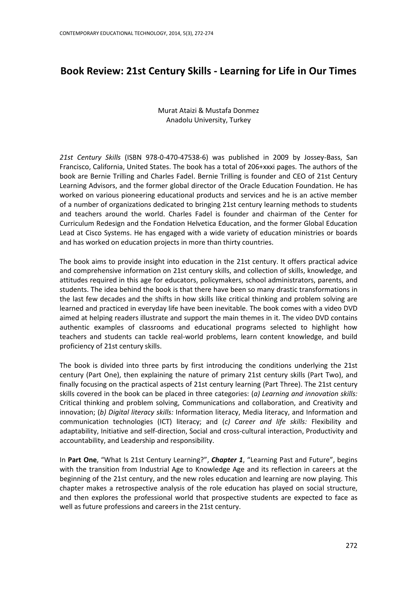## **Book Review: 21st Century Skills - Learning for Life in Our Times**

## Murat Ataizi & Mustafa Donmez Anadolu University, Turkey

*21st Century Skills* (ISBN 978-0-470-47538-6) was published in 2009 by Jossey-Bass, San Francisco, California, United States. The book has a total of 206+xxxi pages. The authors of the book are Bernie Trilling and Charles Fadel. Bernie Trilling is founder and CEO of 21st Century Learning Advisors, and the former global director of the Oracle Education Foundation. He has worked on various pioneering educational products and services and he is an active member of a number of organizations dedicated to bringing 21st century learning methods to students and teachers around the world. Charles Fadel is founder and chairman of the Center for Curriculum Redesign and the Fondation Helvetica Education, and the former Global Education Lead at Cisco Systems. He has engaged with a wide variety of education ministries or boards and has worked on education projects in more than thirty countries.

The book aims to provide insight into education in the 21st century. It offers practical advice and comprehensive information on 21st century skills, and collection of skills, knowledge, and attitudes required in this age for educators, policymakers, school administrators, parents, and students. The idea behind the book is that there have been so many drastic transformations in the last few decades and the shifts in how skills like critical thinking and problem solving are learned and practiced in everyday life have been inevitable. The book comes with a video DVD aimed at helping readers illustrate and support the main themes in it. The video DVD contains authentic examples of classrooms and educational programs selected to highlight how teachers and students can tackle real-world problems, learn content knowledge, and build proficiency of 21st century skills.

The book is divided into three parts by first introducing the conditions underlying the 21st century (Part One), then explaining the nature of primary 21st century skills (Part Two), and finally focusing on the practical aspects of 21st century learning (Part Three). The 21st century skills covered in the book can be placed in three categories: (*a) Learning and innovation skills:* Critical thinking and problem solving, Communications and collaboration, and Creativity and innovation; (*b) Digital literacy skills:* Information literacy, Media literacy, and Information and communication technologies (ICT) literacy; and (*c) Career and life skills:* Flexibility and adaptability, Initiative and self-direction, Social and cross-cultural interaction, Productivity and accountability, and Leadership and responsibility.

In **Part One**, "What Is 21st Century Learning?", *Chapter 1*, "Learning Past and Future", begins with the transition from Industrial Age to Knowledge Age and its reflection in careers at the beginning of the 21st century, and the new roles education and learning are now playing. This chapter makes a retrospective analysis of the role education has played on social structure, and then explores the professional world that prospective students are expected to face as well as future professions and careers in the 21st century.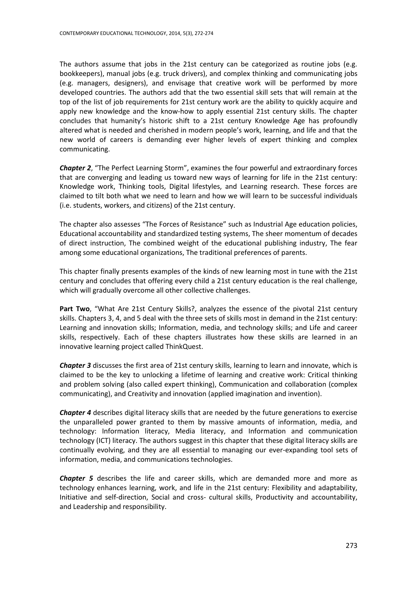The authors assume that jobs in the 21st century can be categorized as routine jobs (e.g. bookkeepers), manual jobs (e.g. truck drivers), and complex thinking and communicating jobs (e.g. managers, designers), and envisage that creative work will be performed by more developed countries. The authors add that the two essential skill sets that will remain at the top of the list of job requirements for 21st century work are the ability to quickly acquire and apply new knowledge and the know-how to apply essential 21st century skills. The chapter concludes that humanity's historic shift to a 21st century Knowledge Age has profoundly altered what is needed and cherished in modern people's work, learning, and life and that the new world of careers is demanding ever higher levels of expert thinking and complex communicating.

*Chapter 2*, "The Perfect Learning Storm", examines the four powerful and extraordinary forces that are converging and leading us toward new ways of learning for life in the 21st century: Knowledge work, Thinking tools, Digital lifestyles, and Learning research. These forces are claimed to tilt both what we need to learn and how we will learn to be successful individuals (i.e. students, workers, and citizens) of the 21st century.

The chapter also assesses "The Forces of Resistance" such as Industrial Age education policies, Educational accountability and standardized testing systems, The sheer momentum of decades of direct instruction, The combined weight of the educational publishing industry, The fear among some educational organizations, The traditional preferences of parents.

This chapter finally presents examples of the kinds of new learning most in tune with the 21st century and concludes that offering every child a 21st century education is the real challenge, which will gradually overcome all other collective challenges.

**Part Two**, "What Are 21st Century Skills?, analyzes the essence of the pivotal 21st century skills. Chapters 3, 4, and 5 deal with the three sets of skills most in demand in the 21st century: Learning and innovation skills; Information, media, and technology skills; and Life and career skills, respectively. Each of these chapters illustrates how these skills are learned in an innovative learning project called ThinkQuest.

*Chapter 3* discusses the first area of 21st century skills, learning to learn and innovate, which is claimed to be the key to unlocking a lifetime of learning and creative work: Critical thinking and problem solving (also called expert thinking), Communication and collaboration (complex communicating), and Creativity and innovation (applied imagination and invention).

*Chapter 4* describes digital literacy skills that are needed by the future generations to exercise the unparalleled power granted to them by massive amounts of information, media, and technology: Information literacy, Media literacy, and Information and communication technology (ICT) literacy. The authors suggest in this chapter that these digital literacy skills are continually evolving, and they are all essential to managing our ever-expanding tool sets of information, media, and communications technologies.

*Chapter 5* describes the life and career skills, which are demanded more and more as technology enhances learning, work, and life in the 21st century: Flexibility and adaptability, Initiative and self-direction, Social and cross- cultural skills, Productivity and accountability, and Leadership and responsibility.